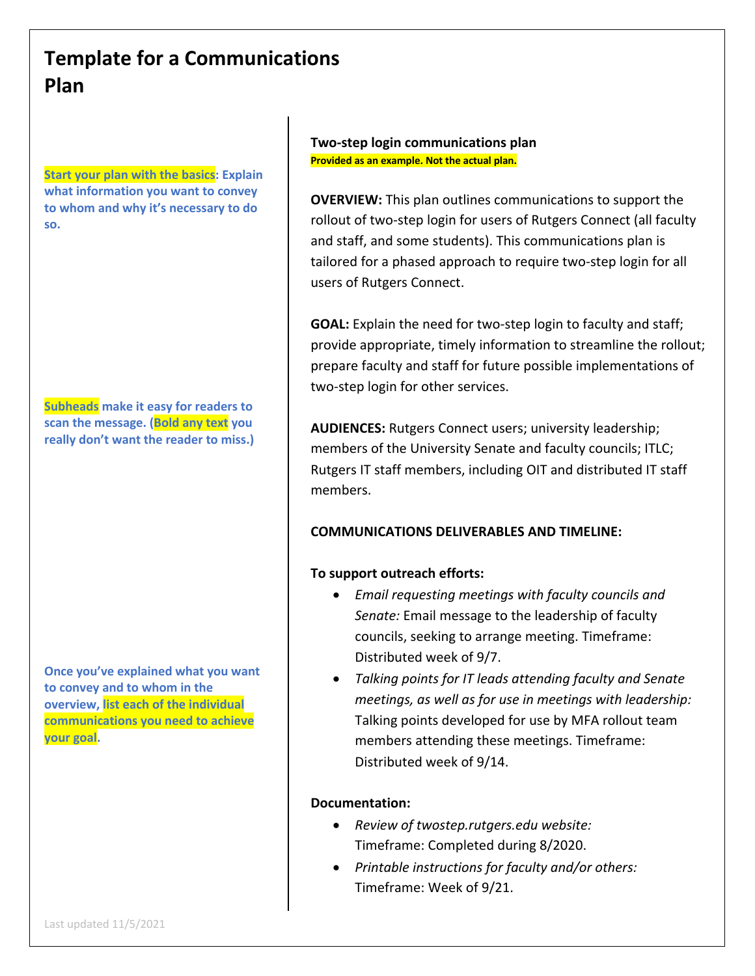# **Template for a Communications Plan**

**Start your plan with the basics: Explain what information you want to convey to whom and why it's necessary to do so.**

**Subheads make it easy for readers to scan the message. (Bold any text you really don't want the reader to miss.)**

**Once you've explained what you want to convey and to whom in the overview, list each of the individual communications you need to achieve your goal.**

# **Two-step login communications plan Provided as an example. Not the actual plan.**

**OVERVIEW:** This plan outlines communications to support the rollout of two-step login for users of Rutgers Connect (all faculty and staff, and some students). This communications plan is tailored for a phased approach to require two-step login for all users of Rutgers Connect.

**GOAL:** Explain the need for two-step login to faculty and staff; provide appropriate, timely information to streamline the rollout; prepare faculty and staff for future possible implementations of two-step login for other services.

**AUDIENCES:** Rutgers Connect users; university leadership; members of the University Senate and faculty councils; ITLC; Rutgers IT staff members, including OIT and distributed IT staff members.

# **COMMUNICATIONS DELIVERABLES AND TIMELINE:**

# **To support outreach efforts:**

- *Email requesting meetings with faculty councils and Senate:* Email message to the leadership of faculty councils, seeking to arrange meeting. Timeframe: Distributed week of 9/7.
- *Talking points for IT leads attending faculty and Senate meetings, as well as for use in meetings with leadership:* Talking points developed for use by MFA rollout team members attending these meetings. Timeframe: Distributed week of 9/14.

# **Documentation:**

- *Review of twostep.rutgers.edu website:* Timeframe: Completed during 8/2020.
- *Printable instructions for faculty and/or others:* Timeframe: Week of 9/21.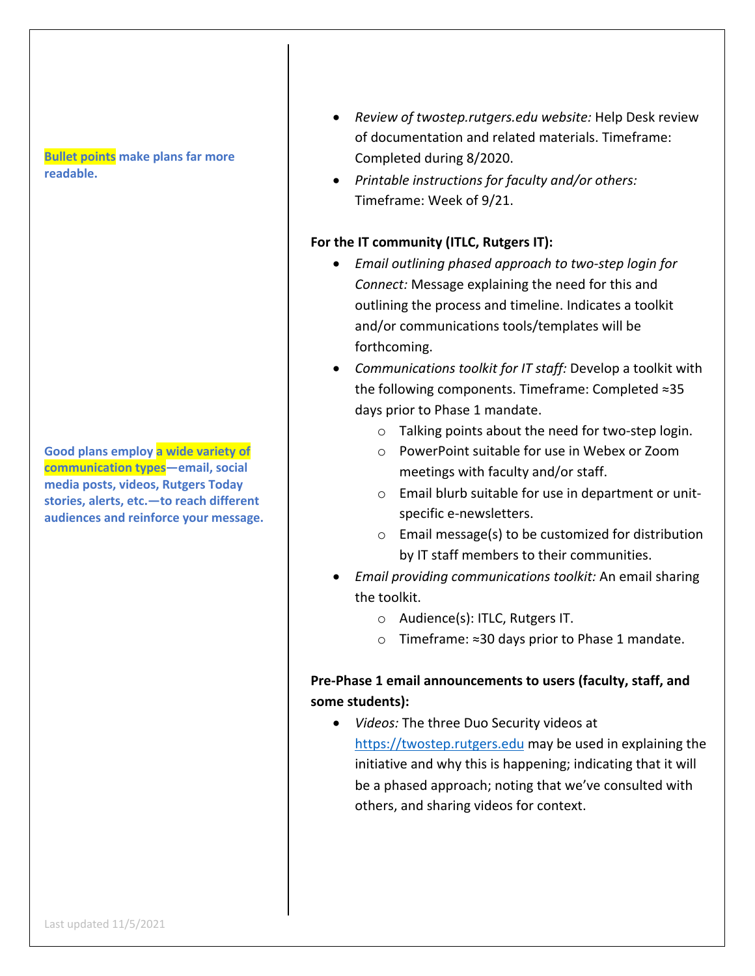#### **Bullet points make plans far more readable.**

**Good plans employ a wide variety of communication types—email, social media posts, videos, Rutgers Today stories, alerts, etc.—to reach different audiences and reinforce your message.**

- *Review of twostep.rutgers.edu website:* Help Desk review of documentation and related materials. Timeframe: Completed during 8/2020.
- *Printable instructions for faculty and/or others:* Timeframe: Week of 9/21.

#### **For the IT community (ITLC, Rutgers IT):**

- *Email outlining phased approach to two-step login for Connect:* Message explaining the need for this and outlining the process and timeline. Indicates a toolkit and/or communications tools/templates will be forthcoming.
- *Communications toolkit for IT staff:* Develop a toolkit with the following components. Timeframe: Completed ≈35 days prior to Phase 1 mandate.
	- o Talking points about the need for two-step login.
	- o PowerPoint suitable for use in Webex or Zoom meetings with faculty and/or staff.
	- o Email blurb suitable for use in department or unitspecific e-newsletters.
	- o Email message(s) to be customized for distribution by IT staff members to their communities.
- *Email providing communications toolkit:* An email sharing the toolkit.
	- o Audience(s): ITLC, Rutgers IT.
	- o Timeframe: ≈30 days prior to Phase 1 mandate.

# **Pre-Phase 1 email announcements to users (faculty, staff, and some students):**

• *Videos:* The three Duo Security videos at https://twostep.rutgers.edu may be used in explaining the initiative and why this is happening; indicating that it will be a phased approach; noting that we've consulted with others, and sharing videos for context.